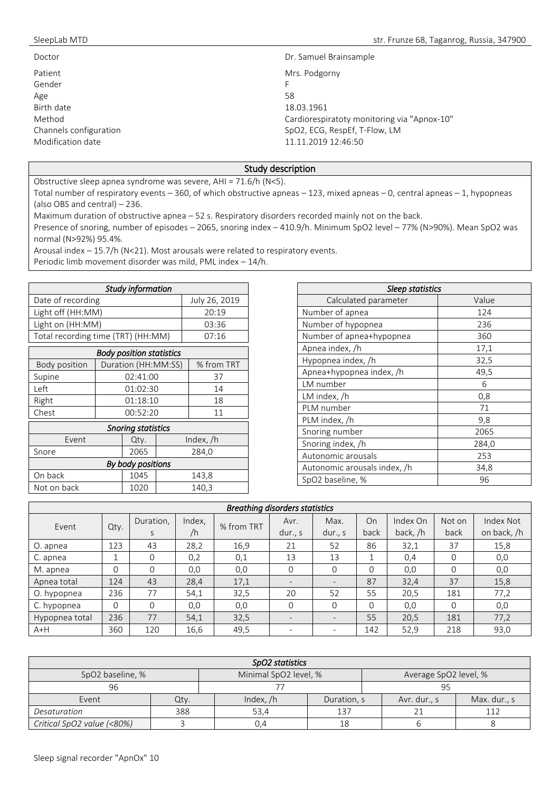| Doctor                 | Dr. Samuel Brainsample                      |
|------------------------|---------------------------------------------|
| Patient                | Mrs. Podgorny                               |
| Gender                 | F                                           |
| Age                    | 58                                          |
| Birth date             | 18.03.1961                                  |
| Method                 | Cardiorespiratoty monitoring via "Apnox-10" |
| Channels configuration | SpO2, ECG, RespEf, T-Flow, LM               |
| Modification date      | 11.11.2019 12:46:50                         |

## Study description

Obstructive sleep apnea syndrome was severe, AHI = 71.6/h (N<5).

Total number of respiratory events – 360, of which obstructive apneas – 123, mixed apneas – 0, central apneas – 1, hypopneas (also OBS and central) – 236.

Maximum duration of obstructive apnea – 52 s. Respiratory disorders recorded mainly not on the back.

Presence of snoring, number of episodes – 2065, snoring index – 410.9/h. Minimum SpO2 level – 77% (N>90%). Mean SpO2 was normal (N>92%) 95.4%.

Arousal index – 15.7/h (N<21). Most arousals were related to respiratory events.

Periodic limb movement disorder was mild, PML index – 14/h.

| Study information                  |               |  |  |  |  |  |  |  |  |
|------------------------------------|---------------|--|--|--|--|--|--|--|--|
|                                    |               |  |  |  |  |  |  |  |  |
| Date of recording                  | July 26, 2019 |  |  |  |  |  |  |  |  |
| Light off (HH:MM)                  | 20:19         |  |  |  |  |  |  |  |  |
| Light on (HH:MM)                   | 03:36         |  |  |  |  |  |  |  |  |
| Total recording time (TRT) (HH:MM) | 07.16         |  |  |  |  |  |  |  |  |

| <b>Body position statistics</b> |      |                                   |    |             |  |  |  |
|---------------------------------|------|-----------------------------------|----|-------------|--|--|--|
| Body position                   |      | Duration (HH:MM:SS)<br>% from TRT |    |             |  |  |  |
| Supine                          |      | 02:41:00                          |    | 37          |  |  |  |
| Left                            |      | 01:02:30                          |    | 14          |  |  |  |
| Right                           |      | 01:18:10                          | 18 |             |  |  |  |
| Chest                           |      | 00:52:20                          |    | 11          |  |  |  |
| <b>Snoring statistics</b>       |      |                                   |    |             |  |  |  |
| Event                           |      | Qty.                              |    | Index, $/h$ |  |  |  |
| Snore                           |      | 2065                              |    | 284,0       |  |  |  |
| By body positions               |      |                                   |    |             |  |  |  |
| On back<br>1045<br>143,8        |      |                                   |    |             |  |  |  |
| Not on back                     | 1020 |                                   |    | 140,3       |  |  |  |

| <b>Sleep statistics</b>      |       |  |  |  |  |  |  |
|------------------------------|-------|--|--|--|--|--|--|
| Calculated parameter         | Value |  |  |  |  |  |  |
| Number of apnea              | 124   |  |  |  |  |  |  |
| Number of hypopnea           | 236   |  |  |  |  |  |  |
| Number of apnea+hypopnea     | 360   |  |  |  |  |  |  |
| Apnea index, /h              | 17,1  |  |  |  |  |  |  |
| Hypopnea index, /h           | 32,5  |  |  |  |  |  |  |
| Apnea+hypopnea index, /h     | 49,5  |  |  |  |  |  |  |
| LM number                    | 6     |  |  |  |  |  |  |
| LM index, /h                 | 0,8   |  |  |  |  |  |  |
| PLM number                   | 71    |  |  |  |  |  |  |
| PLM index, /h                | 9,8   |  |  |  |  |  |  |
| Snoring number               | 2065  |  |  |  |  |  |  |
| Snoring index, /h            | 284,0 |  |  |  |  |  |  |
| Autonomic arousals           | 253   |  |  |  |  |  |  |
| Autonomic arousals index, /h | 34,8  |  |  |  |  |  |  |
| SpO2 baseline, %             | 96    |  |  |  |  |  |  |

| <b>Breathing disorders statistics</b> |          |           |        |            |                   |                          |          |          |          |             |
|---------------------------------------|----------|-----------|--------|------------|-------------------|--------------------------|----------|----------|----------|-------------|
| Event                                 | Qty.     | Duration, | Index, | % from TRT | Avr.              | Max.                     | On       | Index On | Not on   | Index Not   |
|                                       |          | S         | /h     |            | dur., s           | dur., s                  | back     | back, /h | back     | on back, /h |
| O. apnea                              | 123      | 43        | 28,2   | 16,9       | 21                | 52                       | 86       | 32,1     | 37       | 15,8        |
| C. apnea                              |          | $\Omega$  | 0,2    | 0,1        | 13                | 13                       |          | 0.4      | 0        | 0,0         |
| M. apnea                              | $\Omega$ | $\Omega$  | 0,0    | 0,0        | 0                 | $\Omega$                 | $\Omega$ | 0,0      | 0        | 0,0         |
| Apnea total                           | 124      | 43        | 28,4   | 17,1       | $\qquad \qquad -$ | $\overline{\phantom{a}}$ | 87       | 32,4     | 37       | 15,8        |
| O. hypopnea                           | 236      | 77        | 54,1   | 32,5       | 20                | 52                       | 55       | 20,5     | 181      | 77,2        |
| C. hypopnea                           | $\Omega$ | $\Omega$  | 0,0    | 0,0        | $\Omega$          | $\Omega$                 | 0        | 0,0      | $\Omega$ | 0,0         |
| Hypopnea total                        | 236      | 77        | 54,1   | 32,5       | $\qquad \qquad -$ | $\sim$                   | 55       | 20,5     | 181      | 77,2        |
| $A+H$                                 | 360      | 120       | 16,6   | 49,5       |                   | $\overline{\phantom{a}}$ | 142      | 52,9     | 218      | 93,0        |

| SpO2 statistics            |                                                |             |             |  |              |              |  |  |  |
|----------------------------|------------------------------------------------|-------------|-------------|--|--------------|--------------|--|--|--|
| SpO2 baseline, %           | Minimal SpO2 level, %<br>Average SpO2 level, % |             |             |  |              |              |  |  |  |
| 96                         |                                                |             |             |  |              |              |  |  |  |
| Event                      | Qty.                                           | Index, $/h$ | Duration, s |  | Avr. dur., s | Max. dur., s |  |  |  |
| Desaturation               | 388                                            | 53.4        |             |  |              |              |  |  |  |
| Critical SpO2 value (<80%) |                                                | 0.4         |             |  |              |              |  |  |  |